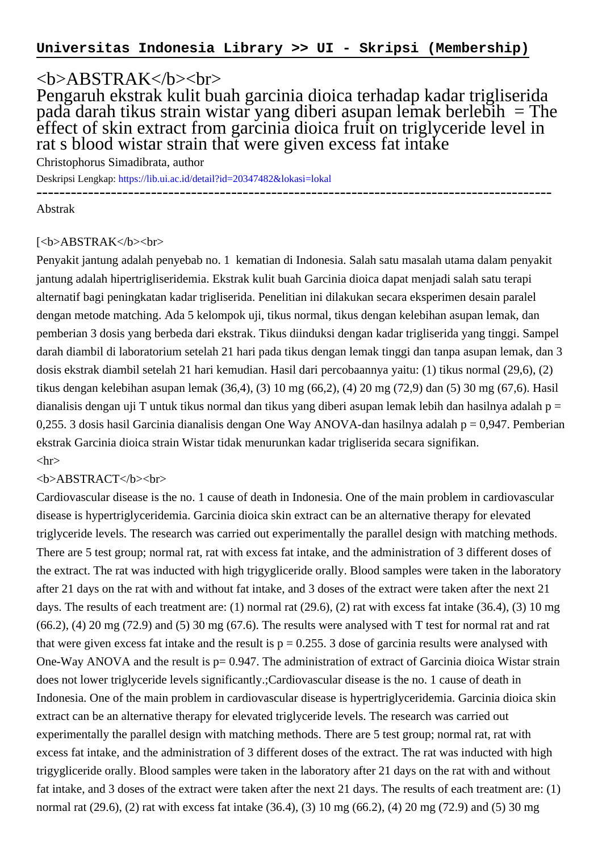## <b>ABSTRAK</b><br>

Pengaruh ekstrak kulit buah garcinia dioica terhadap kadar trigliserida pada darah tikus strain wistar yang diberi asupan lemak berlebih = The effect of skin extract from garcinia dioica fruit on triglyceride level in rat s blood wistar strain that were given excess fat intake

Christophorus Simadibrata, author

Deskripsi Lengkap:<https://lib.ui.ac.id/detail?id=20347482&lokasi=lokal>

------------------------------------------------------------------------------------------ Abstrak

## [<b>ABSTRAK</b><br>

Penyakit jantung adalah penyebab no. 1 kematian di Indonesia. Salah satu masalah utama dalam penyakit jantung adalah hipertrigliseridemia. Ekstrak kulit buah Garcinia dioica dapat menjadi salah satu terapi alternatif bagi peningkatan kadar trigliserida. Penelitian ini dilakukan secara eksperimen desain paralel dengan metode matching. Ada 5 kelompok uji, tikus normal, tikus dengan kelebihan asupan lemak, dan pemberian 3 dosis yang berbeda dari ekstrak. Tikus diinduksi dengan kadar trigliserida yang tinggi. Sampel darah diambil di laboratorium setelah 21 hari pada tikus dengan lemak tinggi dan tanpa asupan lemak, dan 3 dosis ekstrak diambil setelah 21 hari kemudian. Hasil dari percobaannya yaitu: (1) tikus normal (29,6), (2) tikus dengan kelebihan asupan lemak (36,4), (3) 10 mg (66,2), (4) 20 mg (72,9) dan (5) 30 mg (67,6). Hasil dianalisis dengan uji T untuk tikus normal dan tikus yang diberi asupan lemak lebih dan hasilnya adalah p = 0,255. 3 dosis hasil Garcinia dianalisis dengan One Way ANOVA-dan hasilnya adalah p = 0,947. Pemberian ekstrak Garcinia dioica strain Wistar tidak menurunkan kadar trigliserida secara signifikan.  $\langle$ hr $>$ 

## <b>ABSTRACT</b><br>

Cardiovascular disease is the no. 1 cause of death in Indonesia. One of the main problem in cardiovascular disease is hypertriglyceridemia. Garcinia dioica skin extract can be an alternative therapy for elevated triglyceride levels. The research was carried out experimentally the parallel design with matching methods. There are 5 test group; normal rat, rat with excess fat intake, and the administration of 3 different doses of the extract. The rat was inducted with high trigygliceride orally. Blood samples were taken in the laboratory after 21 days on the rat with and without fat intake, and 3 doses of the extract were taken after the next 21 days. The results of each treatment are: (1) normal rat (29.6), (2) rat with excess fat intake (36.4), (3) 10 mg  $(66.2)$ ,  $(4)$  20 mg (72.9) and (5) 30 mg (67.6). The results were analysed with T test for normal rat and rat that were given excess fat intake and the result is  $p = 0.255$ . 3 dose of garcinia results were analysed with One-Way ANOVA and the result is  $p= 0.947$ . The administration of extract of Garcinia dioica Wistar strain does not lower triglyceride levels significantly.;Cardiovascular disease is the no. 1 cause of death in Indonesia. One of the main problem in cardiovascular disease is hypertriglyceridemia. Garcinia dioica skin extract can be an alternative therapy for elevated triglyceride levels. The research was carried out experimentally the parallel design with matching methods. There are 5 test group; normal rat, rat with excess fat intake, and the administration of 3 different doses of the extract. The rat was inducted with high trigygliceride orally. Blood samples were taken in the laboratory after 21 days on the rat with and without fat intake, and 3 doses of the extract were taken after the next 21 days. The results of each treatment are: (1) normal rat (29.6), (2) rat with excess fat intake (36.4), (3) 10 mg (66.2), (4) 20 mg (72.9) and (5) 30 mg